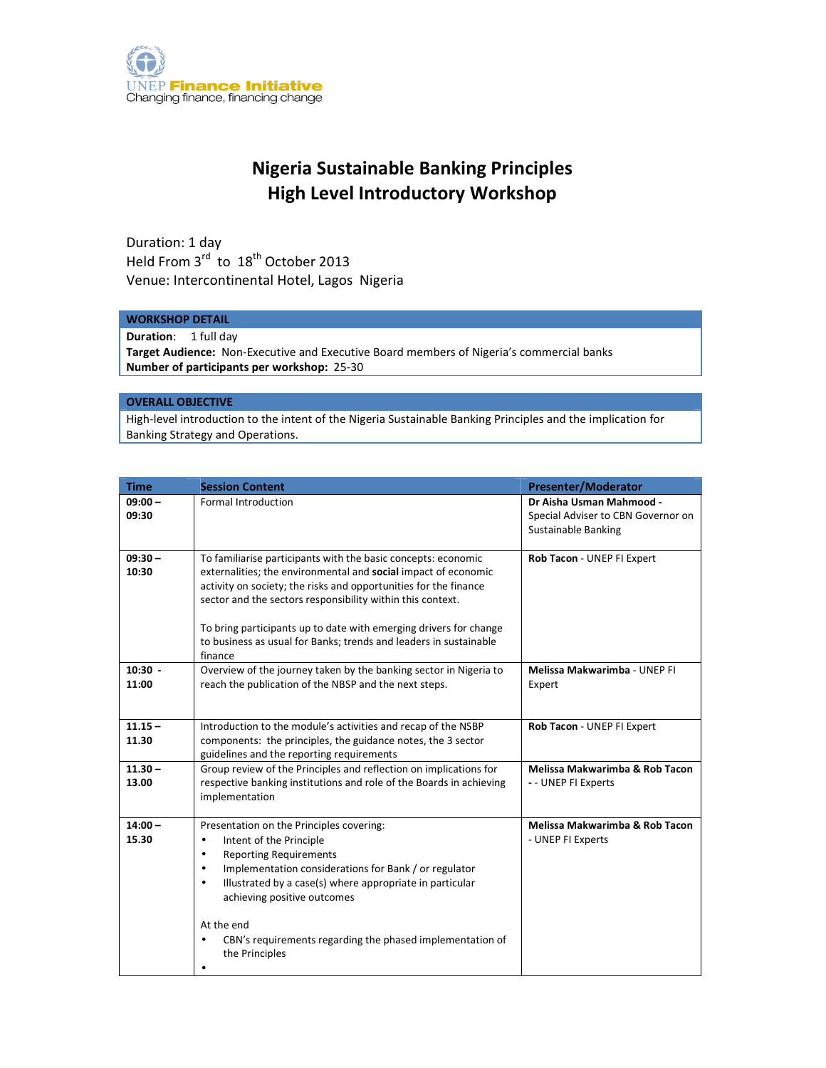

## Nigeria Sustainable Banking Principles High Level Introductory Workshop

Duration: 1 day Held From  $3^{rd}$  to  $18^{th}$  October 2013 Venue: Intercontinental Hotel, Lagos Nigeria

## WORKSHOP DETAIL

Duration: 1 full day

Target Audience: Non-Executive and Executive Board members of Nigeria's commercial banks Number of participants per workshop: 25-30

## OVERALL OBJECTIVE

High-level introduction to the intent of the Nigeria Sustainable Banking Principles and the implication for Banking Strategy and Operations.

| <b>Time</b>        | <b>Session Content</b>                                                                                                                                                                                                                                                                                                                                                                                                              | <b>Presenter/Moderator</b>                                                            |
|--------------------|-------------------------------------------------------------------------------------------------------------------------------------------------------------------------------------------------------------------------------------------------------------------------------------------------------------------------------------------------------------------------------------------------------------------------------------|---------------------------------------------------------------------------------------|
| $09:00 -$<br>09:30 | <b>Formal Introduction</b>                                                                                                                                                                                                                                                                                                                                                                                                          | Dr Aisha Usman Mahmood -<br>Special Adviser to CBN Governor on<br>Sustainable Banking |
| $09:30 -$<br>10:30 | To familiarise participants with the basic concepts: economic<br>externalities; the environmental and social impact of economic<br>activity on society; the risks and opportunities for the finance<br>sector and the sectors responsibility within this context.<br>To bring participants up to date with emerging drivers for change<br>to business as usual for Banks; trends and leaders in sustainable<br>finance              | Rob Tacon - UNEP FI Expert                                                            |
| $10:30 -$<br>11:00 | Overview of the journey taken by the banking sector in Nigeria to<br>reach the publication of the NBSP and the next steps.                                                                                                                                                                                                                                                                                                          | Melissa Makwarimba - UNEP FI<br>Expert                                                |
| $11.15 -$<br>11.30 | Introduction to the module's activities and recap of the NSBP<br>components: the principles, the guidance notes, the 3 sector<br>guidelines and the reporting requirements                                                                                                                                                                                                                                                          | Rob Tacon - UNEP FI Expert                                                            |
| $11.30 -$<br>13.00 | Group review of the Principles and reflection on implications for<br>respective banking institutions and role of the Boards in achieving<br>implementation                                                                                                                                                                                                                                                                          | Melissa Makwarimba & Rob Tacon<br>- - UNEP FI Experts                                 |
| $14:00 -$<br>15.30 | Presentation on the Principles covering:<br>Intent of the Principle<br>$\bullet$<br><b>Reporting Requirements</b><br>$\bullet$<br>Implementation considerations for Bank / or regulator<br>$\bullet$<br>Illustrated by a case(s) where appropriate in particular<br>$\bullet$<br>achieving positive outcomes<br>At the end<br>CBN's requirements regarding the phased implementation of<br>$\bullet$<br>the Principles<br>$\bullet$ | Melissa Makwarimba & Rob Tacon<br>- UNEP FI Experts                                   |